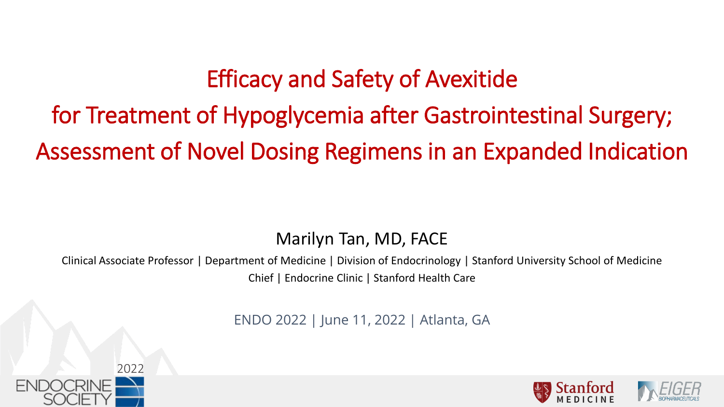# Efficacy and Safety of Avexitide

# for Treatment of Hypoglycemia after Gastrointestinal Surgery; Assessment of Novel Dosing Regimens in an Expanded Indication

### Marilyn Tan, MD, FACE

Clinical Associate Professor | Department of Medicine | Division of Endocrinology | Stanford University School of Medicine Chief | Endocrine Clinic | Stanford Health Care

ENDO 2022 | June 11, 2022 | Atlanta, GA



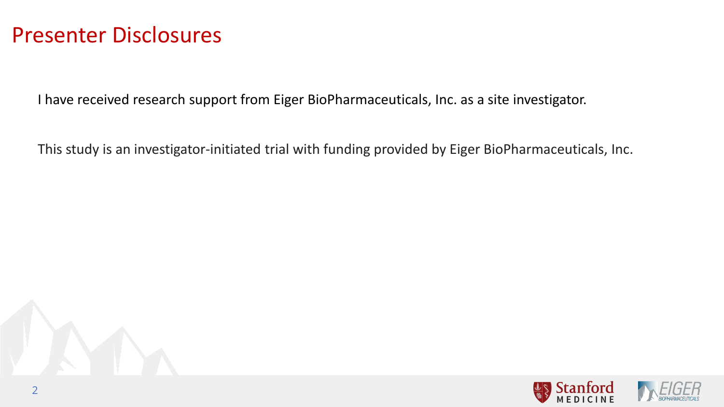### Presenter Disclosures

I have received research support from Eiger BioPharmaceuticals, Inc. as a site investigator.

This study is an investigator-initiated trial with funding provided by Eiger BioPharmaceuticals, Inc.

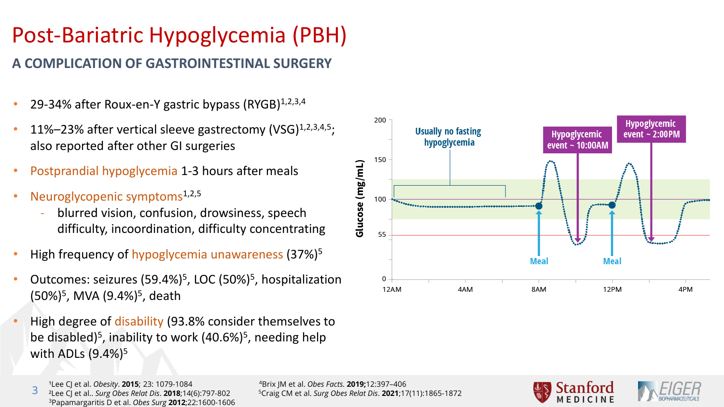# Post-Bariatric Hypoglycemia (PBH)

### **A COMPLICATION OF GASTROINTESTINAL SURGERY**

- 29-34% after Roux-en-Y gastric bypass (RYGB)<sup>1,2,3,4</sup>
- 11%–23% after vertical sleeve gastrectomy (VSG) $^{1,2,3,4,5}$ ; also reported after other GI surgeries
- Postprandial hypoglycemia 1-3 hours after meals
- Neuroglycopenic symptoms<sup>1,2,5</sup>
	- blurred vision, confusion, drowsiness, speech difficulty, incoordination, difficulty concentrating
- High frequency of hypoglycemia unawareness (37%)5
- Outcomes: seizures (59.4%)5, LOC (50%)5, hospitalization (50%)<sup>5</sup>, MVA (9.4%)<sup>5</sup>, death
- High degree of disability (93.8% consider themselves to be disabled)<sup>5</sup>, inability to work  $(40.6\%)^5$ , needing help with ADLs  $(9.4\%)^5$





<sup>1</sup>Lee CJ et al. *Obesity*. **2015**; 23: 1079-1084 <sup>4</sup>Brix JM et al. *Obes Facts*. **2019:**12:397-406

3 3Papamargaritis D et al. *Obes Surg* **2012**;22:1600-1606

²Lee CJ et al.. *Surg Obes Relat Dis*. **2018**;14(6):797-802 5Craig CM et al. *Surg Obes Relat Dis*. **2021**;17(11):1865-1872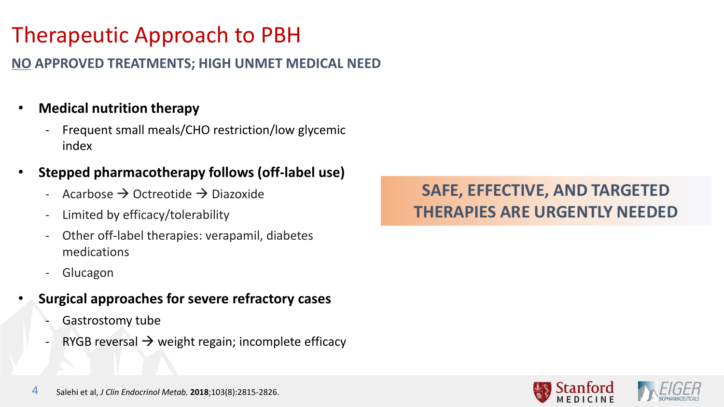# Therapeutic Approach to PBH

### **NO APPROVED TREATMENTS; HIGH UNMET MEDICAL NEED**

### • **Medical nutrition therapy**

- Frequent small meals/CHO restriction/low glycemic index
- **Stepped pharmacotherapy follows (off-label use)**
	- Acarbose  $\rightarrow$  Octreotide  $\rightarrow$  Diazoxide
	- Limited by efficacy/tolerability
	- Other off-label therapies: verapamil, diabetes medications
	- **Glucagon**
- **Surgical approaches for severe refractory cases**
	- Gastrostomy tube
	- RYGB reversal  $\rightarrow$  weight regain; incomplete efficacy

### **SAFE, EFFECTIVE, AND TARGETED THERAPIES ARE URGENTLY NEEDED**

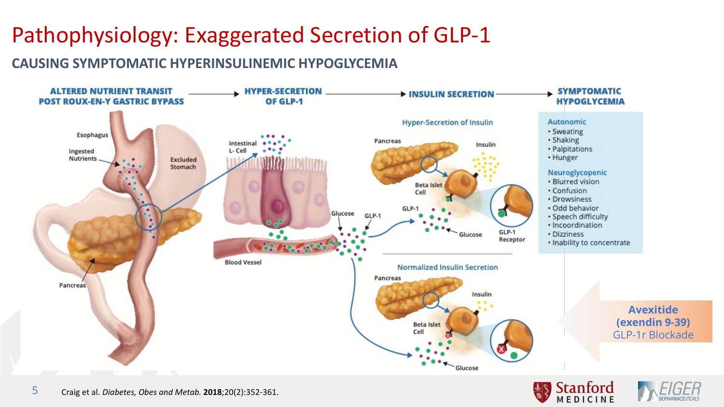# Pathophysiology: Exaggerated Secretion of GLP-1

### **CAUSING SYMPTOMATIC HYPERINSULINEMIC HYPOGLYCEMIA**





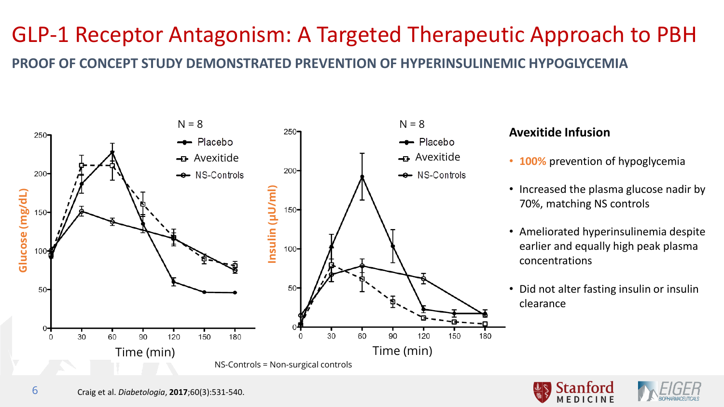## GLP-1 Receptor Antagonism: A Targeted Therapeutic Approach to PBH **PROOF OF CONCEPT STUDY DEMONSTRATED PREVENTION OF HYPERINSULINEMIC HYPOGLYCEMIA**



#### **Avexitide Infusion**

- **100%** prevention of hypoglycemia
- Increased the plasma glucose nadir by 70%, matching NS controls
- Ameliorated hyperinsulinemia despite earlier and equally high peak plasma concentrations
- Did not alter fasting insulin or insulin clearance



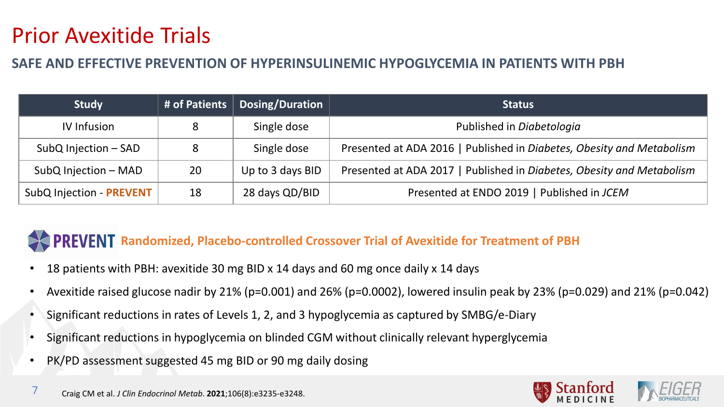## Prior Avexitide Trials

#### **SAFE AND EFFECTIVE PREVENTION OF HYPERINSULINEMIC HYPOGLYCEMIA IN PATIENTS WITH PBH**

| <b>Study</b>             |    | # of Patients   Dosing/Duration | <b>Status</b>                                                         |
|--------------------------|----|---------------------------------|-----------------------------------------------------------------------|
| <b>IV Infusion</b>       |    | Single dose                     | Published in Diabetologia                                             |
| SubQ Injection - SAD     | 8  | Single dose                     | Presented at ADA 2016   Published in Diabetes, Obesity and Metabolism |
| SubQ Injection - MAD     | 20 | Up to 3 days BID                | Presented at ADA 2017   Published in Diabetes, Obesity and Metabolism |
| SubQ Injection - PREVENT | 18 | 28 days QD/BID                  | Presented at ENDO 2019   Published in JCEM                            |

### **PREVENT** Randomized, Placebo-controlled Crossover Trial of Avexitide for Treatment of PBH

- 18 patients with PBH: avexitide 30 mg BID x 14 days and 60 mg once daily x 14 days
- Avexitide raised glucose nadir by 21% (p=0.001) and 26% (p=0.0002), lowered insulin peak by 23% (p=0.029) and 21% (p=0.042)
- Significant reductions in rates of Levels 1, 2, and 3 hypoglycemia as captured by SMBG/e-Diary
- Significant reductions in hypoglycemia on blinded CGM without clinically relevant hyperglycemia
- PK/PD assessment suggested 45 mg BID or 90 mg daily dosing



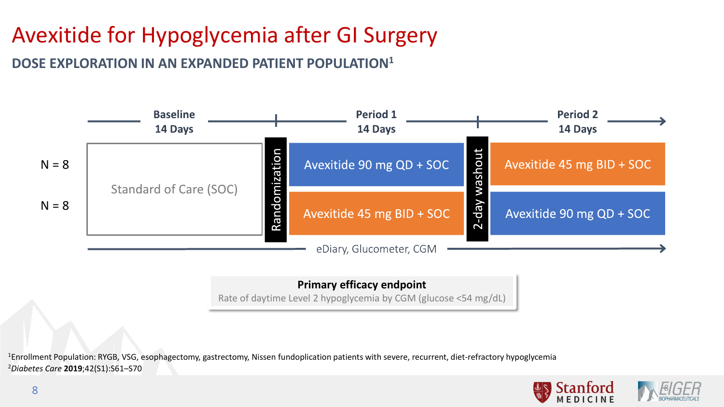# Avexitide for Hypoglycemia after GI Surgery

**DOSE EXPLORATION IN AN EXPANDED PATIENT POPULATION1**



#### **Primary efficacy endpoint**

Rate of daytime Level 2 hypoglycemia by CGM (glucose <54 mg/dL)

<sup>2</sup>*Diabetes Care* **2019**;42(S1):S61–S70 <sup>1</sup>Enrollment Population: RYGB, VSG, esophagectomy, gastrectomy, Nissen fundoplication patients with severe, recurrent, diet-refractory hypoglycemia

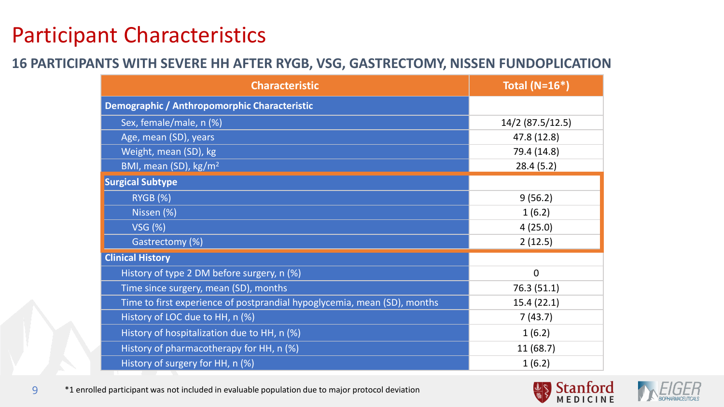## Participant Characteristics

#### **16 PARTICIPANTS WITH SEVERE HH AFTER RYGB, VSG, GASTRECTOMY, NISSEN FUNDOPLICATION**

| <b>Characteristic</b>                                                    | Total ( $N=16*$ ) |  |  |
|--------------------------------------------------------------------------|-------------------|--|--|
| Demographic / Anthropomorphic Characteristic                             |                   |  |  |
| Sex, female/male, n (%)                                                  | 14/2 (87.5/12.5)  |  |  |
| Age, mean (SD), years                                                    | 47.8 (12.8)       |  |  |
| Weight, mean (SD), kg                                                    | 79.4 (14.8)       |  |  |
| BMI, mean (SD), kg/m <sup>2</sup>                                        | 28.4(5.2)         |  |  |
| <b>Surgical Subtype</b>                                                  |                   |  |  |
| <b>RYGB (%)</b>                                                          | 9(56.2)           |  |  |
| Nissen (%)                                                               | 1(6.2)            |  |  |
| <b>VSG (%)</b>                                                           | 4(25.0)           |  |  |
| Gastrectomy (%)                                                          | 2(12.5)           |  |  |
| <b>Clinical History</b>                                                  |                   |  |  |
| History of type 2 DM before surgery, n (%)                               | $\overline{0}$    |  |  |
| Time since surgery, mean (SD), months                                    | 76.3 (51.1)       |  |  |
| Time to first experience of postprandial hypoglycemia, mean (SD), months | 15.4(22.1)        |  |  |
| History of LOC due to HH, n (%)                                          | 7(43.7)           |  |  |
| History of hospitalization due to HH, n (%)                              | 1(6.2)            |  |  |
| History of pharmacotherapy for HH, n (%)                                 | 11(68.7)          |  |  |
| History of surgery for HH, n (%)                                         | 1(6.2)            |  |  |





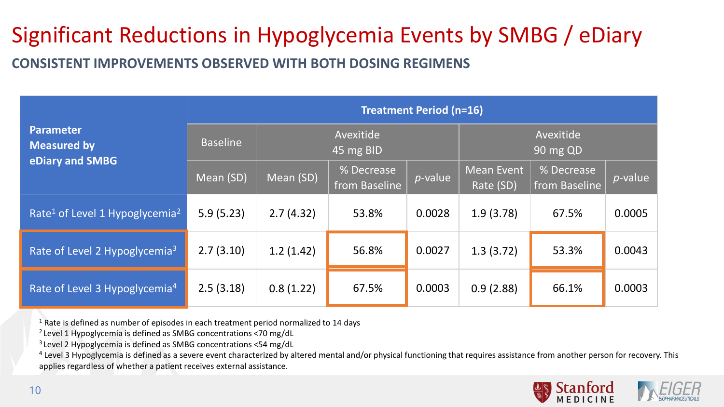# Significant Reductions in Hypoglycemia Events by SMBG / eDiary

**CONSISTENT IMPROVEMENTS OBSERVED WITH BOTH DOSING REGIMENS**

|                                                        | <b>Treatment Period (n=16)</b>            |           |                             |                       |                                |                             |                 |  |  |  |
|--------------------------------------------------------|-------------------------------------------|-----------|-----------------------------|-----------------------|--------------------------------|-----------------------------|-----------------|--|--|--|
| Parameter<br><b>Measured by</b>                        | Avexitide<br><b>Baseline</b><br>45 mg BID |           |                             | Avexitide<br>90 mg QD |                                |                             |                 |  |  |  |
| eDiary and SMBG                                        | Mean (SD)                                 | Mean (SD) | % Decrease<br>from Baseline | $p$ -value            | <b>Mean Event</b><br>Rate (SD) | % Decrease<br>from Baseline | <i>p</i> -value |  |  |  |
| Rate <sup>1</sup> of Level 1 Hypoglycemia <sup>2</sup> | 5.9(5.23)                                 | 2.7(4.32) | 53.8%                       | 0.0028                | 1.9(3.78)                      | 67.5%                       | 0.0005          |  |  |  |
| Rate of Level 2 Hypoglycemia <sup>3</sup>              | 2.7(3.10)                                 | 1.2(1.42) | 56.8%                       | 0.0027                | 1.3(3.72)                      | 53.3%                       | 0.0043          |  |  |  |
| Rate of Level 3 Hypoglycemia <sup>4</sup>              | 2.5(3.18)                                 | 0.8(1.22) | 67.5%                       | 0.0003                | 0.9(2.88)                      | 66.1%                       | 0.0003          |  |  |  |

<sup>1</sup> Rate is defined as number of episodes in each treatment period normalized to 14 days

2 Level 1 Hypoglycemia is defined as SMBG concentrations <70 mg/dL

3 Level 2 Hypoglycemia is defined as SMBG concentrations <54 mg/dL

<sup>4</sup> Level 3 Hypoglycemia is defined as a severe event characterized by altered mental and/or physical functioning that requires assistance from another person for recovery. This applies regardless of whether a patient receives external assistance.

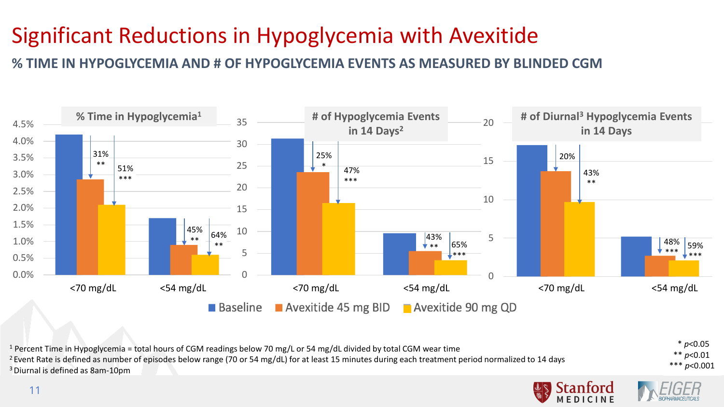# Significant Reductions in Hypoglycemia with Avexitide

**% TIME IN HYPOGLYCEMIA AND # OF HYPOGLYCEMIA EVENTS AS MEASURED BY BLINDED CGM**



\* *p*<0.05 \*\* *p*<0.01 \*\*\* *p*<0.001 <sup>1</sup> Percent Time in Hypoglycemia = total hours of CGM readings below 70 mg/L or 54 mg/dL divided by total CGM wear time <sup>2</sup> Event Rate is defined as number of episodes below range (70 or 54 mg/dL) for at least 15 minutes during each treatment period normalized to 14 days 3 Diurnal is defined as 8am-10pm

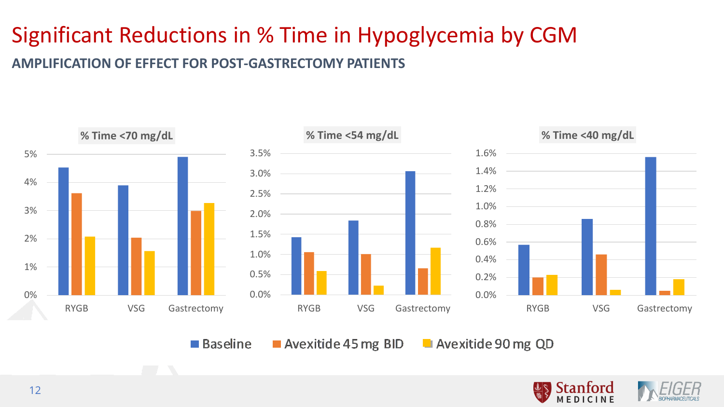# Significant Reductions in % Time in Hypoglycemia by CGM

#### **AMPLIFICATION OF EFFECT FOR POST-GASTRECTOMY PATIENTS**



■ Baseline Avexitide 45 mg BID Avexitide 90 mg QD

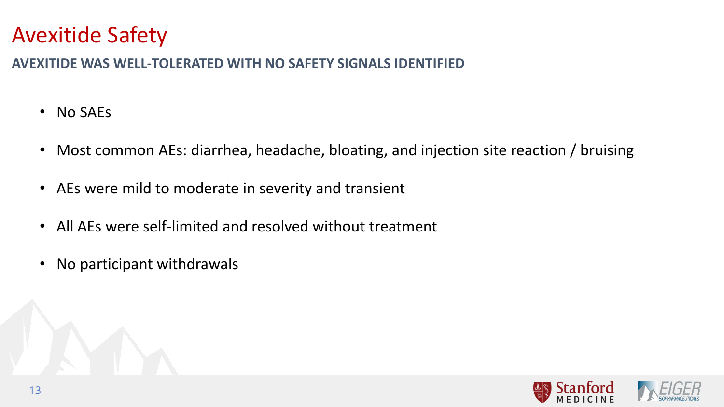## Avexitide Safety

#### **AVEXITIDE WAS WELL-TOLERATED WITH NO SAFETY SIGNALS IDENTIFIED**

- No SAEs
- Most common AEs: diarrhea, headache, bloating, and injection site reaction / bruising
- AEs were mild to moderate in severity and transient
- All AEs were self-limited and resolved without treatment
- No participant withdrawals

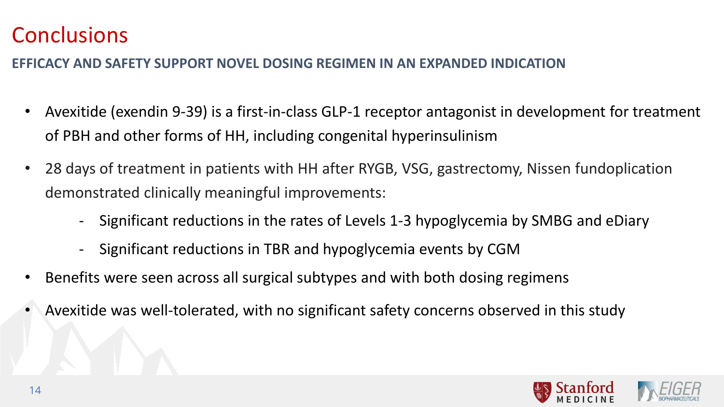## **Conclusions**

### **EFFICACY AND SAFETY SUPPORT NOVEL DOSING REGIMEN IN AN EXPANDED INDICATION**

- Avexitide (exendin 9-39) is a first-in-class GLP-1 receptor antagonist in development for treatment of PBH and other forms of HH, including congenital hyperinsulinism
- 28 days of treatment in patients with HH after RYGB, VSG, gastrectomy, Nissen fundoplication demonstrated clinically meaningful improvements:
	- Significant reductions in the rates of Levels 1-3 hypoglycemia by SMBG and eDiary
	- Significant reductions in TBR and hypoglycemia events by CGM
- Benefits were seen across all surgical subtypes and with both dosing regimens
- Avexitide was well-tolerated, with no significant safety concerns observed in this study